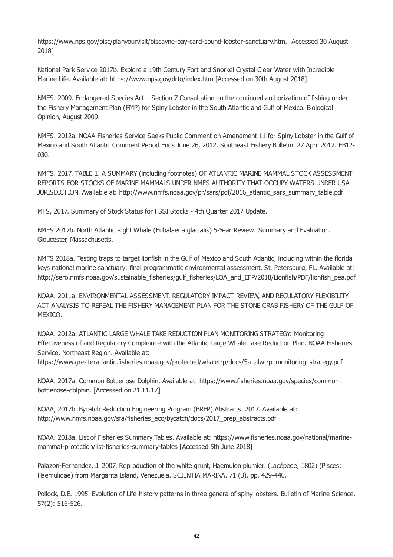https://www.nps.gov/bisc/planyourvisit/biscayne-bay-card-sound-lobster-sanctuary.htm. [Accessed 30 August 2018]

National Park Service 2017b. Explore a 19th Century Fort and Snorkel Crystal Clear Water with Incredible Marine Life. Available at: https://www.nps.gov/drto/index.htm [Accessed on 30th August 2018]

NMFS. 2009. Endangered Species Act – Section 7 Consultation on the continued authorization of fishing under the Fishery Management Plan (FMP) for Spiny Lobster in the South Atlantic and Gulf of Mexico. Biological Opinion, August 2009.

NMFS. 2012a. NOAA Fisheries Service Seeks Public Comment on Amendment 11 for Spiny Lobster in the Gulf of Mexico and South Atlantic Comment Period Ends June 26, 2012. Southeast Fishery Bulletin. 27 April 2012. FB12- 030.

NMFS. 2017. TABLE 1. A SUMMARY (including footnotes) OF ATLANTIC MARINE MAMMAL STOCK ASSESSMENT REPORTS FOR STOCKS OF MARINE MAMMALS UNDER NMFS AUTHORITY THAT OCCUPY WATERS UNDER USA JURISDICTION. Available at: http://www.nmfs.noaa.gov/pr/sars/pdf/2016\_atlantic\_sars\_summary\_table.pdf

MFS, 2017. Summary of Stock Status for FSSI Stocks - 4th Quarter 2017 Update.

NMFS 2017b. North Atlantic Right Whale (Eubalaena glacialis) 5-Year Review: Summary and Evaluation. Gloucester, Massachusetts.

NMFS 2018a. Testing traps to target lionfish in the Gulf of Mexico and South Atlantic, including within the florida keys national marine sanctuary: final programmatic environmental assessment. St. Petersburg, FL. Available at: http://sero.nmfs.noaa.gov/sustainable\_fisheries/gulf\_fisheries/LOA\_and\_EFP/2018/Lionfish/PDF/lionfish\_pea.pdf

NOAA. 2011a. ENVIRONMENTAL ASSESSMENT, REGULATORY IMPACT REVIEW, AND REGULATORY FLEXIBILITY ACT ANALYSIS TO REPEAL THE FISHERY MANAGEMENT PLAN FOR THE STONE CRAB FISHERY OF THE GULF OF MEXICO.

NOAA. 2012a. ATLANTIC LARGE WHALE TAKE REDUCTION PLAN MONITORING STRATEGY: Monitoring Effectiveness of and Regulatory Compliance with the Atlantic Large Whale Take Reduction Plan. NOAA Fisheries Service, Northeast Region. Available at:

https://www.greateratlantic.fisheries.noaa.gov/protected/whaletrp/docs/5a\_alwtrp\_monitoring\_strategy.pdf

NOAA. 2017a. Common Bottlenose Dolphin. Available at: https://www.fisheries.noaa.gov/species/commonbottlenose-dolphin. [Accessed on 21.11.17]

NOAA, 2017b. Bycatch Reduction Engineering Program (BREP) Abstracts. 2017. Available at: http://www.nmfs.noaa.gov/sfa/fisheries\_eco/bycatch/docs/2017\_brep\_abstracts.pdf

NOAA. 2018a. List of Fisheries Summary Tables. Available at: https://www.fisheries.noaa.gov/national/marinemammal-protection/list-fisheries-summary-tables [Accessed 5th June 2018]

Palazon-Fernandez, J. 2007. Reproduction of the white grunt, Haemulon plumieri (Lacépede, 1802) (Pisces: Haemulidae) from Margarita Island, Venezuela. SCIENTIA MARINA. 71 (3). pp. 429-440.

Pollock, D.E. 1995. Evolution of Life-history patterns in three genera of spiny lobsters. Bulletin of Marine Science. 57(2): 516-526.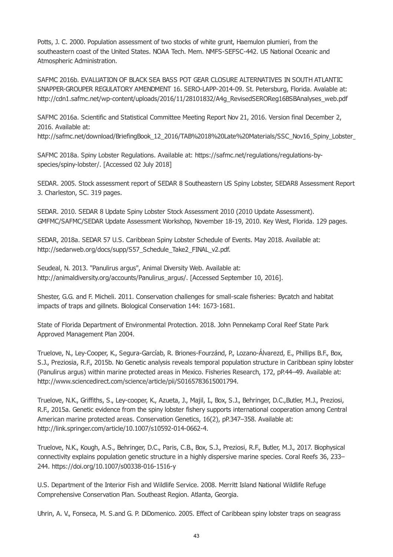Potts, J. C. 2000. Population assessment of two stocks of white grunt, Haemulon plumieri, from the southeastern coast of the United States. NOAA Tech. Mem. NMFS-SEFSC-442. US National Oceanic and Atmospheric Administration.

SAFMC 2016b. EVALUATION OF BLACK SEA BASS POT GEAR CLOSURE ALTERNATIVES IN SOUTH ATLANTIC SNAPPER-GROUPER REGULATORY AMENDMENT 16. SERO-LAPP-2014-09. St. Petersburg, Florida. Avalable at: http://cdn1.safmc.net/wp-content/uploads/2016/11/28101832/A4q\_RevisedSEROReg16BSBAnalyses\_web.pdf

SAFMC 2016a. Scientific and Statistical Committee Meeting Report Nov 21, 2016. Version final December 2, 2016. Available at:

http://safmc.net/download/BriefingBook\_12\_2016/TAB%2018%20Late%20Materials/SSC\_Nov16\_Spiny\_Lobster

SAFMC 2018a. Spiny Lobster Regulations. Available at: https://safmc.net/regulations/regulations-byspecies/spiny-lobster/. [Accessed 02 July 2018]

SEDAR. 2005. Stock assessment report of SEDAR 8 Southeastern US Spiny Lobster, SEDAR8 Assessment Report 3. Charleston, SC. 319 pages.

SEDAR. 2010. SEDAR 8 Update Spiny Lobster Stock Assessment 2010 (2010 Update Assessment). GMFMC/SAFMC/SEDAR Update Assessment Workshop, November 18-19, 2010. Key West, Florida. 129 pages.

SEDAR, 2018a. SEDAR 57 U.S. Caribbean Spiny Lobster Schedule of Events. May 2018. Available at: http://sedarweb.org/docs/supp/S57\_Schedule\_Take2\_FINAL\_v2.pdf.

Seudeal, N. 2013. "Panulirus argus", Animal Diversity Web. Available at: http://animaldiversity.org/accounts/Panulirus\_argus/. [Accessed September 10, 2016].

Shester, G.G. and F. Micheli. 2011. Conservation challenges for small-scale fisheries: Bycatch and habitat impacts of traps and gillnets. Biological Conservation 144: 1673-1681.

State of Florida Department of Environmental Protection. 2018. John Pennekamp Coral Reef State Park Approved Management Plan 2004.

Truelove, N., Ley-Cooper, K., Segura-Garcíab, R. Briones-Fourzánd, P., Lozano-Álvarezd, E., Phillips B.F., Box, S.J., Preziosia, R.F., 2015b. No Genetic analysis reveals temporal population structure in Caribbean spiny lobster (Panulirus argus) within marine protected areas in Mexico. Fisheries Research, 172, pP.44–49. Available at: http://www.sciencedirect.com/science/article/pii/S0165783615001794.

Truelove, N.K., Griffiths, S., Ley-cooper, K., Azueta, J., Majil, I., Box, S.J., Behringer, D.C.,Butler, M.J., Preziosi, R.F., 2015a. Genetic evidence from the spiny lobster fishery supports international cooperation among Central American marine protected areas. Conservation Genetics, 16(2), pP.347–358. Available at: http://link.springer.com/article/10.1007/s10592-014-0662-4.

Truelove, N.K., Kough, A.S., Behringer, D.C., Paris, C.B., Box, S.J., Preziosi, R.F., Butler, M.J., 2017. Biophysical connectivity explains population genetic structure in a highly dispersive marine species. Coral Reefs 36, 233– 244. https://doi.org/10.1007/s00338-016-1516-y

U.S. Department of the Interior Fish and Wildlife Service. 2008. Merritt Island National Wildlife Refuge Comprehensive Conservation Plan. Southeast Region. Atlanta, Georgia.

Uhrin, A. V., Fonseca, M. S.and G. P. DiDomenico. 2005. Effect of Caribbean spiny lobster traps on seagrass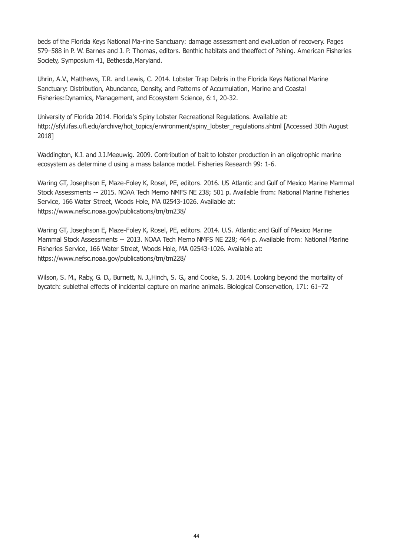beds of the Florida Keys National Ma-rine Sanctuary: damage assessment and evaluation of recovery. Pages 579–588 in P. W. Barnes and J. P. Thomas, editors. Benthic habitats and theeffect of ?shing. American Fisheries Society, Symposium 41, Bethesda, Maryland.

Uhrin, A.V., Matthews, T.R. and Lewis, C. 2014. Lobster Trap Debris in the Florida Keys National Marine Sanctuary: Distribution, Abundance, Density, and Patterns of Accumulation, Marine and Coastal Fisheries:Dynamics, Management, and Ecosystem Science, 6:1, 20-32.

University of Florida 2014. Florida's Spiny Lobster Recreational Regulations. Available at: http://sfyl.ifas.ufl.edu/archive/hot\_topics/environment/spiny\_lobster\_regulations.shtml [Accessed 30th August 2018]

Waddington, K.I. and J.J.Meeuwig. 2009. Contribution of bait to lobster production in an oligotrophic marine ecosystem as determine d using a mass balance model. Fisheries Research 99: 1-6.

Waring GT, Josephson E, Maze-Foley K, Rosel, PE, editors. 2016. US Atlantic and Gulf of Mexico Marine Mammal Stock Assessments -- 2015. NOAA Tech Memo NMFS NE 238; 501 p. Available from: National Marine Fisheries Service, 166 Water Street, Woods Hole, MA 02543-1026. Available at: https://www.nefsc.noaa.gov/publications/tm/tm238/

Waring GT, Josephson E, Maze-Foley K, Rosel, PE, editors. 2014. U.S. Atlantic and Gulf of Mexico Marine Mammal Stock Assessments -- 2013. NOAA Tech Memo NMFS NE 228; 464 p. Available from: National Marine Fisheries Service, 166 Water Street, Woods Hole, MA 02543-1026. Available at: https://www.nefsc.noaa.gov/publications/tm/tm228/

Wilson, S. M., Raby, G. D., Burnett, N. J.,Hinch, S. G., and Cooke, S. J. 2014. Looking beyond the mortality of bycatch: sublethal effects of incidental capture on marine animals. Biological Conservation, 171: 61–72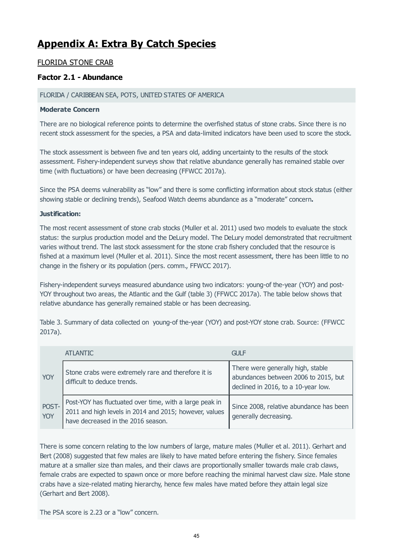# **Appendix A: Extra By Catch Species**

## FLORIDA STONE CRAB

## **Factor 2.1 - Abundance**

## FLORIDA / CARIBBEAN SEA, POTS, UNITED STATES OF AMERICA

### **Moderate Concern**

There are no biological reference points to determine the overfished status of stone crabs. Since there is no recent stock assessment for the species, a PSA and data-limited indicators have been used to score the stock.

The stock assessment is between five and ten years old, adding uncertainty to the results of the stock assessment. Fishery-independent surveys show that relative abundance generally has remained stable over time (with fluctuations) or have been decreasing (FFWCC 2017a).

Since the PSA deems vulnerability as "low" and there is some conflicting information about stock status (either showing stable or declining trends), Seafood Watch deems abundance as a "moderate" concern**.**

#### **Justification:**

The most recent assessment of stone crab stocks (Muller et al. 2011) used two models to evaluate the stock status: the surplus production model and the DeLury model. The DeLury model demonstrated that recruitment varies without trend. The last stock assessment for the stone crab fishery concluded that the resource is fished at a maximum level (Muller et al. 2011). Since the most recent assessment, there has been little to no change in the fishery or its population (pers. comm., FFWCC 2017).

Fishery-independent surveys measured abundance using two indicators: young-of the-year (YOY) and post-YOY throughout two areas, the Atlantic and the Gulf (table 3) (FFWCC 2017a). The table below shows that relative abundance has generally remained stable or has been decreasing.

Table 3. Summary of data collected on young-of the-year (YOY) and post-YOY stone crab. Source: (FFWCC 2017a).

|                     | <b>ATLANTIC</b>                                                                                                                                         | <b>GULF</b>                                                                                                      |
|---------------------|---------------------------------------------------------------------------------------------------------------------------------------------------------|------------------------------------------------------------------------------------------------------------------|
| <b>YOY</b>          | Stone crabs were extremely rare and therefore it is<br>difficult to deduce trends.                                                                      | There were generally high, stable<br>abundances between 2006 to 2015, but<br>declined in 2016, to a 10-year low. |
| POST-<br><b>YOY</b> | Post-YOY has fluctuated over time, with a large peak in<br>2011 and high levels in 2014 and 2015; however, values<br>have decreased in the 2016 season. | Since 2008, relative abundance has been<br>generally decreasing.                                                 |

There is some concern relating to the low numbers of large, mature males (Muller et al. 2011). Gerhart and Bert (2008) suggested that few males are likely to have mated before entering the fishery. Since females mature at a smaller size than males, and their claws are proportionally smaller towards male crab claws, female crabs are expected to spawn once or more before reaching the minimal harvest claw size. Male stone crabs have a size-related mating hierarchy, hence few males have mated before they attain legal size (Gerhart and Bert 2008).

The PSA score is 2.23 or a "low" concern.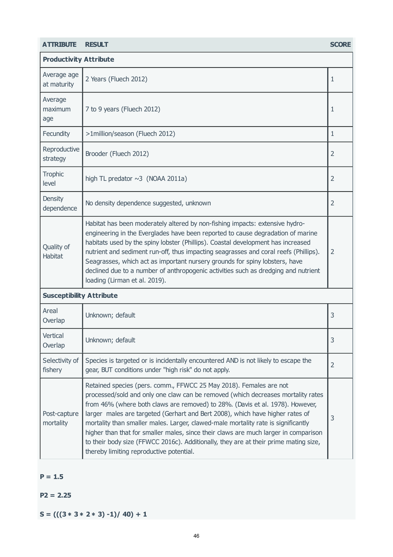## **ATTRIBUTE RESULT SCORE**

| <b>Productivity Attribute</b> |                                                                                                                                                                                                                                                                                                                                                                                                                                                                                                                                                                                                                                          |                |  |  |  |  |
|-------------------------------|------------------------------------------------------------------------------------------------------------------------------------------------------------------------------------------------------------------------------------------------------------------------------------------------------------------------------------------------------------------------------------------------------------------------------------------------------------------------------------------------------------------------------------------------------------------------------------------------------------------------------------------|----------------|--|--|--|--|
| Average age<br>at maturity    | 2 Years (Fluech 2012)                                                                                                                                                                                                                                                                                                                                                                                                                                                                                                                                                                                                                    | $\mathbf{1}$   |  |  |  |  |
| Average<br>maximum<br>age     | 7 to 9 years (Fluech 2012)                                                                                                                                                                                                                                                                                                                                                                                                                                                                                                                                                                                                               | $\mathbf{1}$   |  |  |  |  |
| Fecundity                     | >1million/season (Fluech 2012)                                                                                                                                                                                                                                                                                                                                                                                                                                                                                                                                                                                                           | $\mathbf{1}$   |  |  |  |  |
| Reproductive<br>strategy      | Brooder (Fluech 2012)                                                                                                                                                                                                                                                                                                                                                                                                                                                                                                                                                                                                                    | $\overline{2}$ |  |  |  |  |
| <b>Trophic</b><br>level       | high TL predator $\sim$ 3 (NOAA 2011a)                                                                                                                                                                                                                                                                                                                                                                                                                                                                                                                                                                                                   | $\overline{2}$ |  |  |  |  |
| Density<br>dependence         | No density dependence suggested, unknown                                                                                                                                                                                                                                                                                                                                                                                                                                                                                                                                                                                                 | $\overline{2}$ |  |  |  |  |
| Quality of<br><b>Habitat</b>  | Habitat has been moderately altered by non-fishing impacts: extensive hydro-<br>engineering in the Everglades have been reported to cause degradation of marine<br>habitats used by the spiny lobster (Phillips). Coastal development has increased<br>nutrient and sediment run-off, thus impacting seagrasses and coral reefs (Phillips).<br>Seagrasses, which act as important nursery grounds for spiny lobsters, have<br>declined due to a number of anthropogenic activities such as dredging and nutrient<br>loading (Lirman et al. 2019).                                                                                        | $\overline{2}$ |  |  |  |  |
|                               | <b>Susceptibility Attribute</b>                                                                                                                                                                                                                                                                                                                                                                                                                                                                                                                                                                                                          |                |  |  |  |  |
| Areal<br>Overlap              | Unknown; default                                                                                                                                                                                                                                                                                                                                                                                                                                                                                                                                                                                                                         | 3              |  |  |  |  |
| Vertical<br>Overlap           | Unknown; default                                                                                                                                                                                                                                                                                                                                                                                                                                                                                                                                                                                                                         | 3              |  |  |  |  |
| Selectivity of<br>fishery     | Species is targeted or is incidentally encountered AND is not likely to escape the<br>gear, BUT conditions under "high risk" do not apply.                                                                                                                                                                                                                                                                                                                                                                                                                                                                                               | $\overline{2}$ |  |  |  |  |
| Post-capture<br>mortality     | Retained species (pers. comm., FFWCC 25 May 2018). Females are not<br>processed/sold and only one claw can be removed (which decreases mortality rates<br>from 46% (where both claws are removed) to 28%. (Davis et al. 1978). However,<br>larger males are targeted (Gerhart and Bert 2008), which have higher rates of<br>mortality than smaller males. Larger, clawed-male mortality rate is significantly<br>higher than that for smaller males, since their claws are much larger in comparison<br>to their body size (FFWCC 2016c). Additionally, they are at their prime mating size,<br>thereby limiting reproductive potential. | 3              |  |  |  |  |

 $P = 1.5$ 

**P2 = 2.25**

**S = (((3** ∗ **3** ∗ **2** ∗ **3) -1)/ 40) + 1**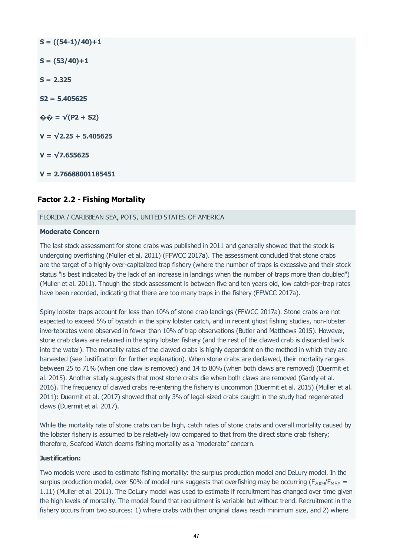**S = ((54-1)/40)+1 S = (53/40)+1 S = 2.325 S2 = 5.405625**  $\hat{\mathbf{\Phi}} \hat{\mathbf{\Phi}} = \sqrt{(P2 + S2)}$ **V = √2.25 + 5.405625 V = √7.655625 V = 2.76688001185451**

## **Factor 2.2 - Fishing Mortality**

## FLORIDA / CARIBBEAN SEA, POTS, UNITED STATES OF AMERICA

## **Moderate Concern**

The last stock assessment for stone crabs was published in 2011 and generally showed that the stock is undergoing overfishing (Muller et al. 2011) (FFWCC 2017a). The assessment concluded that stone crabs are the target of a highly over-capitalized trap fishery (where the number of traps is excessive and their stock status "is best indicated by the lack of an increase in landings when the number of traps more than doubled") (Muller et al. 2011). Though the stock assessment is between five and ten years old, low catch-per-trap rates have been recorded, indicating that there are too many traps in the fishery (FFWCC 2017a).

Spiny lobster traps account for less than 10% of stone crab landings (FFWCC 2017a). Stone crabs are not expected to exceed 5% of bycatch in the spiny lobster catch, and in recent ghost fishing studies, non-lobster invertebrates were observed in fewer than 10% of trap observations (Butler and Matthews 2015). However, stone crab claws are retained in the spiny lobster fishery (and the rest of the clawed crab is discarded back into the water). The mortality rates of the clawed crabs is highly dependent on the method in which they are harvested (see Justification for further explanation). When stone crabs are declawed, their mortality ranges between 25 to 71% (when one claw is removed) and 14 to 80% (when both claws are removed) (Duermit et al. 2015). Another study suggests that most stone crabs die when both claws are removed (Gandy et al. 2016). The frequency of clawed crabs re-entering the fishery is uncommon (Duermit et al. 2015) (Muller et al. 2011): Duermit et al. (2017) showed that only 3% of legal-sized crabs caught in the study had regenerated claws (Duermit et al. 2017).

While the mortality rate of stone crabs can be high, catch rates of stone crabs and overall mortality caused by the lobster fishery is assumed to be relatively low compared to that from the direct stone crab fishery; therefore, Seafood Watch deems fishing mortality as a "moderate" concern.

## **Justification:**

Two models were used to estimate fishing mortality: the surplus production model and DeLury model. In the surplus production model, over 50% of model runs suggests that overfishing may be occurring ( $F_{2009}/F_{MSY}$  = 1.11) (Muller et al. 2011). The DeLury model was used to estimate if recruitment has changed over time given the high levels of mortality. The model found that recruitment is variable but without trend. Recruitment in the fishery occurs from two sources: 1) where crabs with their original claws reach minimum size, and 2) where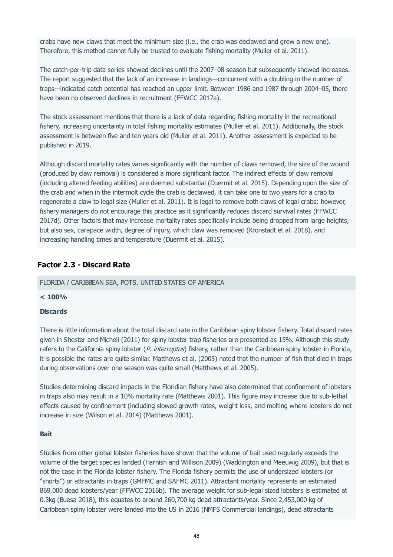crabs have new claws that meet the minimum size (i.e., the crab was declawed and grew a new one). Therefore, this method cannot fully be trusted to evaluate fishing mortality (Muller et al. 2011).

The catch-per-trip data series showed declines until the 2007–08 season but subsequently showed increases. The report suggested that the lack of an increase in landings—concurrent with a doubling in the number of traps—indicated catch potential has reached an upper limit. Between 1986 and 1987 through 2004–05, there have been no observed declines in recruitment (FFWCC 2017a).

The stock assessment mentions that there is a lack of data regarding fishing mortality in the recreational fishery, increasing uncertainty in total fishing mortality estimates (Muller et al. 2011). Additionally, the stock assessment is between five and ten years old (Muller et al. 2011). Another assessment is expected to be published in 2019.

Although discard mortality rates varies significantly with the number of claws removed, the size of the wound (produced by claw removal) is considered a more significant factor. The indirect effects of claw removal (including altered feeding abilities) are deemed substantial (Duermit et al. 2015). Depending upon the size of the crab and when in the intermolt cycle the crab is declawed, it can take one to two years for a crab to regenerate a claw to legal size (Muller et al. 2011). It is legal to remove both claws of legal crabs; however, fishery managers do not encourage this practice as it significantly reduces discard survival rates (FFWCC 2017d). Other factors that may increase mortality rates specifically include being dropped from large heights, but also sex, carapace width, degree of injury, which claw was removed (Kronstadt et al. 2018), and increasing handling times and temperature (Duermit et al. 2015).

## **Factor 2.3 - Discard Rate**

FLORIDA / CARIBBEAN SEA, POTS, UNITED STATES OF AMERICA

## **< 100%**

## **Discards**

There is little information about the total discard rate in the Caribbean spiny lobster fishery. Total discard rates given in Shester and Micheli (2011) for spiny lobster trap fisheries are presented as 15%. Although this study refers to the California spiny lobster (P. interruptus) fishery, rather than the Caribbean spiny lobster in Florida, it is possible the rates are quite similar. Matthews et al. (2005) noted that the number of fish that died in traps during observations over one season was quite small (Matthews et al. 2005).

Studies determining discard impacts in the Floridian fishery have also determined that confinement of lobsters in traps also may result in a 10% mortality rate (Matthews 2001). This figure may increase due to sub-lethal effects caused by confinement (including slowed growth rates, weight loss, and molting where lobsters do not increase in size (Wilson et al. 2014) (Matthews 2001).

#### **Bait**

Studies from other global lobster fisheries have shown that the volume of bait used regularly exceeds the volume of the target species landed (Harnish and Willison 2009) (Waddington and Meeuwig 2009), but that is not the case in the Florida lobster fishery. The Florida fishery permits the use of undersized lobsters (or "shorts") or attractants in traps (GMFMC and SAFMC 2011). Attractant mortality represents an estimated 869,000 dead lobsters/year (FFWCC 2016b). The average weight for sub-legal sized lobsters is estimated at 0.3kg (Buesa 2018), this equates to around 260,700 kg dead attractants/year. Since 2,453,000 kg of Caribbean spiny lobster were landed into the US in 2016 (NMFS Commercial landings), dead attractants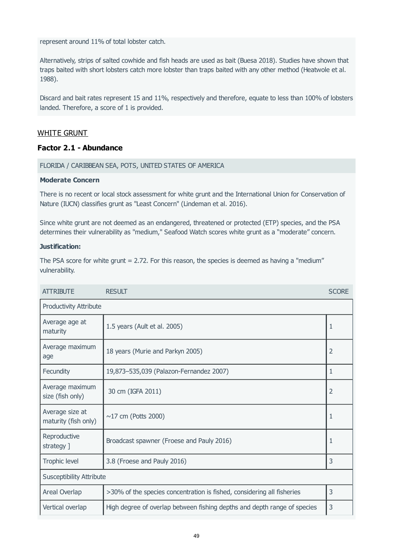represent around 11% of total lobster catch.

Alternatively, strips of salted cowhide and fish heads are used as bait (Buesa 2018). Studies have shown that traps baited with short lobsters catch more lobster than traps baited with any other method (Heatwole et al. 1988).

Discard and bait rates represent 15 and 11%, respectively and therefore, equate to less than 100% of lobsters landed. Therefore, a score of 1 is provided.

## WHITE GRUNT

## **Factor 2.1 - Abundance**

FLORIDA / CARIBBEAN SEA, POTS, UNITED STATES OF AMERICA

#### **Moderate Concern**

There is no recent or local stock assessment for white grunt and the International Union for Conservation of Nature (IUCN) classifies grunt as "Least Concern" (Lindeman et al. 2016).

Since white grunt are not deemed as an endangered, threatened or protected (ETP) species, and the PSA determines their vulnerability as "medium," Seafood Watch scores white grunt as a "moderate" concern.

#### **Justification:**

The PSA score for white grunt  $= 2.72$ . For this reason, the species is deemed as having a "medium" vulnerability.

| <b>ATTRIBUTE</b>                        | <b>RESULT</b>                                                            | <b>SCORE</b>   |  |  |  |
|-----------------------------------------|--------------------------------------------------------------------------|----------------|--|--|--|
| <b>Productivity Attribute</b>           |                                                                          |                |  |  |  |
| Average age at<br>maturity              | 1.5 years (Ault et al. 2005)                                             | 1              |  |  |  |
| Average maximum<br>age                  | 18 years (Murie and Parkyn 2005)                                         | 2              |  |  |  |
| Fecundity                               | 19,873-535,039 (Palazon-Fernandez 2007)                                  | 1              |  |  |  |
| Average maximum<br>size (fish only)     | 30 cm (IGFA 2011)                                                        | $\overline{2}$ |  |  |  |
| Average size at<br>maturity (fish only) | $\sim$ 17 cm (Potts 2000)                                                | 1              |  |  |  |
| Reproductive<br>strategy ]              | Broadcast spawner (Froese and Pauly 2016)                                | 1              |  |  |  |
| Trophic level                           | 3.8 (Froese and Pauly 2016)                                              | 3              |  |  |  |
| <b>Susceptibility Attribute</b>         |                                                                          |                |  |  |  |
| Areal Overlap                           | >30% of the species concentration is fished, considering all fisheries   | 3              |  |  |  |
| Vertical overlap                        | High degree of overlap between fishing depths and depth range of species | 3              |  |  |  |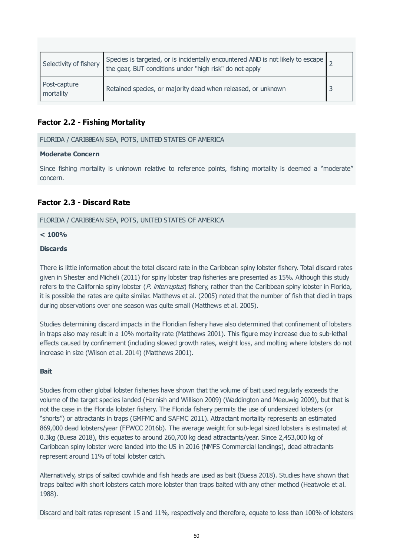| Selectivity of fishery    | Species is targeted, or is incidentally encountered AND is not likely to escape $\frac{1}{2}$<br>the gear, BUT conditions under "high risk" do not apply |  |
|---------------------------|----------------------------------------------------------------------------------------------------------------------------------------------------------|--|
| Post-capture<br>mortality | Retained species, or majority dead when released, or unknown                                                                                             |  |

## **Factor 2.2 - Fishing Mortality**

FLORIDA / CARIBBEAN SEA, POTS, UNITED STATES OF AMERICA

#### **Moderate Concern**

Since fishing mortality is unknown relative to reference points, fishing mortality is deemed a "moderate" concern.

## **Factor 2.3 - Discard Rate**

FLORIDA / CARIBBEAN SEA, POTS, UNITED STATES OF AMERICA

### **< 100%**

## **Discards**

There is little information about the total discard rate in the Caribbean spiny lobster fishery. Total discard rates given in Shester and Micheli (2011) for spiny lobster trap fisheries are presented as 15%. Although this study refers to the California spiny lobster (P. interruptus) fishery, rather than the Caribbean spiny lobster in Florida, it is possible the rates are quite similar. Matthews et al. (2005) noted that the number of fish that died in traps during observations over one season was quite small (Matthews et al. 2005).

Studies determining discard impacts in the Floridian fishery have also determined that confinement of lobsters in traps also may result in a 10% mortality rate (Matthews 2001). This figure may increase due to sub-lethal effects caused by confinement (including slowed growth rates, weight loss, and molting where lobsters do not increase in size (Wilson et al. 2014) (Matthews 2001).

## **Bait**

Studies from other global lobster fisheries have shown that the volume of bait used regularly exceeds the volume of the target species landed (Harnish and Willison 2009) (Waddington and Meeuwig 2009), but that is not the case in the Florida lobster fishery. The Florida fishery permits the use of undersized lobsters (or "shorts") or attractants in traps (GMFMC and SAFMC 2011). Attractant mortality represents an estimated 869,000 dead lobsters/year (FFWCC 2016b). The average weight for sub-legal sized lobsters is estimated at 0.3kg (Buesa 2018), this equates to around 260,700 kg dead attractants/year. Since 2,453,000 kg of Caribbean spiny lobster were landed into the US in 2016 (NMFS Commercial landings), dead attractants represent around 11% of total lobster catch.

Alternatively, strips of salted cowhide and fish heads are used as bait (Buesa 2018). Studies have shown that traps baited with short lobsters catch more lobster than traps baited with any other method (Heatwole et al. 1988).

Discard and bait rates represent 15 and 11%, respectively and therefore, equate to less than 100% of lobsters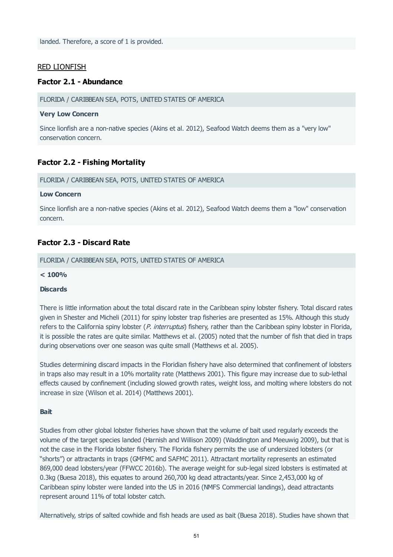## RED LIONFISH

## **Factor 2.1 - Abundance**

FLORIDA / CARIBBEAN SEA, POTS, UNITED STATES OF AMERICA

### **Very Low Concern**

Since lionfish are a non-native species (Akins et al. 2012), Seafood Watch deems them as a "very low" conservation concern.

## **Factor 2.2 - Fishing Mortality**

FLORIDA / CARIBBEAN SEA, POTS, UNITED STATES OF AMERICA

#### **Low Concern**

Since lionfish are a non-native species (Akins et al. 2012), Seafood Watch deems them a "low" conservation concern.

## **Factor 2.3 - Discard Rate**

FLORIDA / CARIBBEAN SEA, POTS, UNITED STATES OF AMERICA

#### **< 100%**

## **Discards**

There is little information about the total discard rate in the Caribbean spiny lobster fishery. Total discard rates given in Shester and Micheli (2011) for spiny lobster trap fisheries are presented as 15%. Although this study refers to the California spiny lobster (P. interruptus) fishery, rather than the Caribbean spiny lobster in Florida, it is possible the rates are quite similar. Matthews et al. (2005) noted that the number of fish that died in traps during observations over one season was quite small (Matthews et al. 2005).

Studies determining discard impacts in the Floridian fishery have also determined that confinement of lobsters in traps also may result in a 10% mortality rate (Matthews 2001). This figure may increase due to sub-lethal effects caused by confinement (including slowed growth rates, weight loss, and molting where lobsters do not increase in size (Wilson et al. 2014) (Matthews 2001).

#### **Bait**

Studies from other global lobster fisheries have shown that the volume of bait used regularly exceeds the volume of the target species landed (Harnish and Willison 2009) (Waddington and Meeuwig 2009), but that is not the case in the Florida lobster fishery. The Florida fishery permits the use of undersized lobsters (or "shorts") or attractants in traps (GMFMC and SAFMC 2011). Attractant mortality represents an estimated 869,000 dead lobsters/year (FFWCC 2016b). The average weight for sub-legal sized lobsters is estimated at 0.3kg (Buesa 2018), this equates to around 260,700 kg dead attractants/year. Since 2,453,000 kg of Caribbean spiny lobster were landed into the US in 2016 (NMFS Commercial landings), dead attractants represent around 11% of total lobster catch.

Alternatively, strips of salted cowhide and fish heads are used as bait (Buesa 2018). Studies have shown that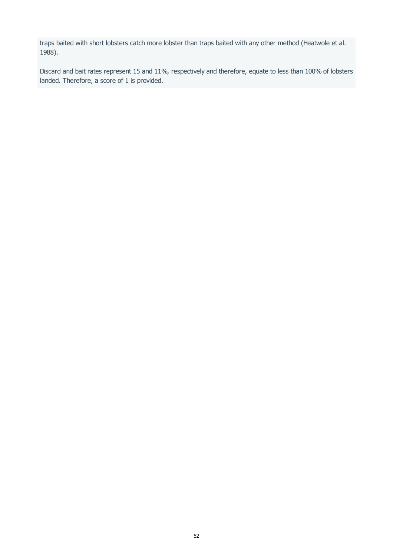traps baited with short lobsters catch more lobster than traps baited with any other method (Heatwole et al. 1988).

Discard and bait rates represent 15 and 11%, respectively and therefore, equate to less than 100% of lobsters landed. Therefore, a score of 1 is provided.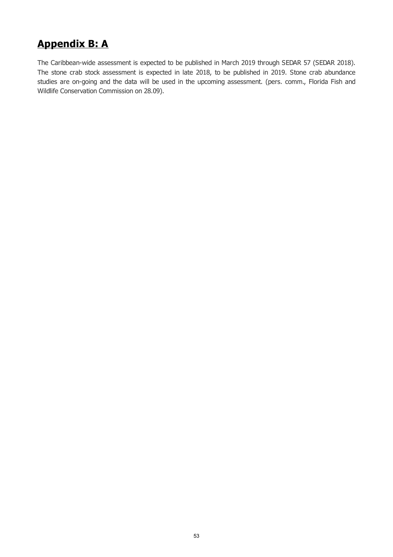## **Appendix B: A**

The Caribbean-wide assessment is expected to be published in March 2019 through SEDAR 57 (SEDAR 2018). The stone crab stock assessment is expected in late 2018, to be published in 2019. Stone crab abundance studies are on-going and the data will be used in the upcoming assessment. (pers. comm., Florida Fish and Wildlife Conservation Commission on 28.09).